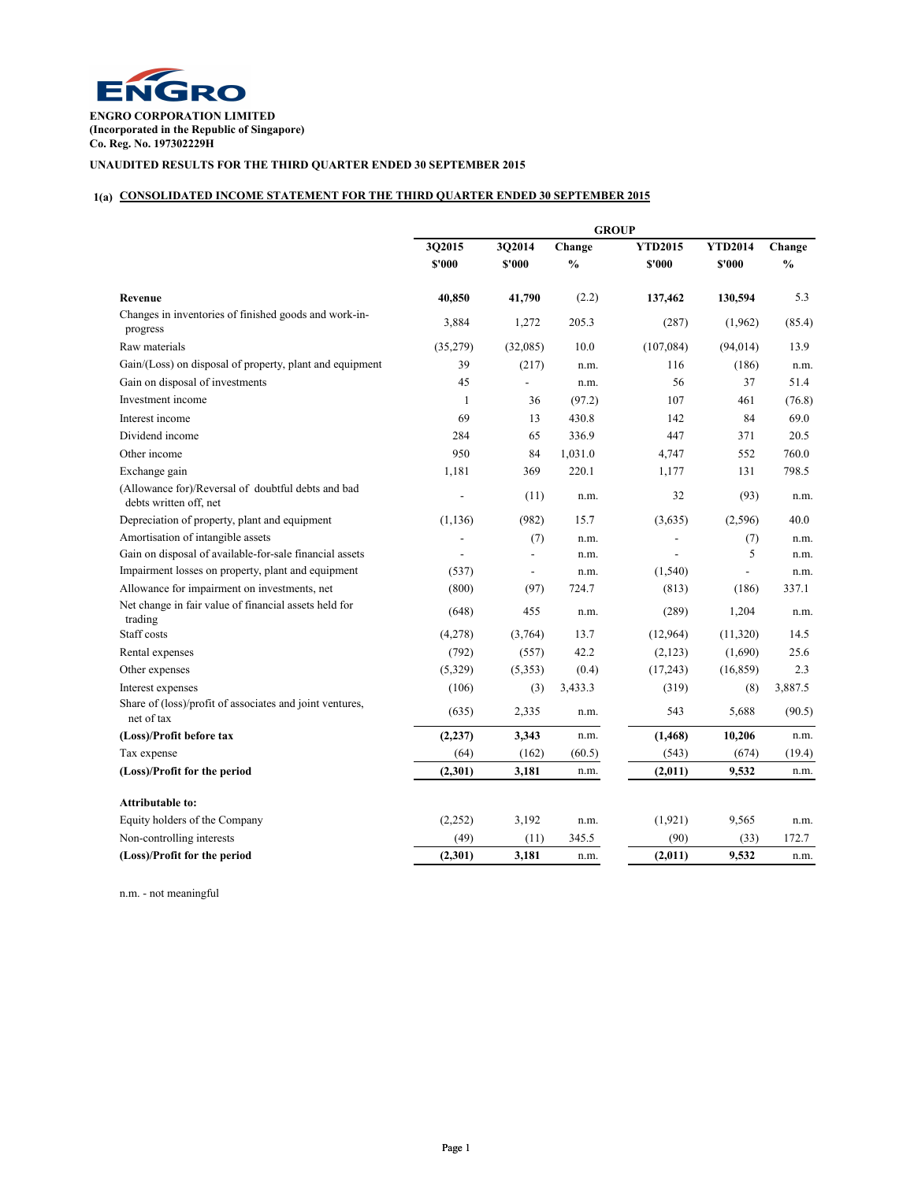

**ENGRO CORPORATION LIMITED (Incorporated in the Republic of Singapore) Co. Reg. No. 197302229H**

# **UNAUDITED RESULTS FOR THE THIRD QUARTER ENDED 30 SEPTEMBER 2015**

## **1(a) CONSOLIDATED INCOME STATEMENT FOR THE THIRD QUARTER ENDED 30 SEPTEMBER 2015**

|                                                                              | <b>GROUP</b>           |                          |                         |                          |                          |                         |  |
|------------------------------------------------------------------------------|------------------------|--------------------------|-------------------------|--------------------------|--------------------------|-------------------------|--|
|                                                                              | 302015<br><b>S'000</b> | 3Q2014<br>\$'000         | Change<br>$\frac{0}{0}$ | <b>YTD2015</b><br>\$'000 | <b>YTD2014</b><br>\$'000 | Change<br>$\frac{0}{0}$ |  |
| Revenue                                                                      | 40.850                 | 41,790                   | (2.2)                   | 137,462                  | 130,594                  | 5.3                     |  |
| Changes in inventories of finished goods and work-in-<br>progress            | 3,884                  | 1,272                    | 205.3                   | (287)                    | (1,962)                  | (85.4)                  |  |
| Raw materials                                                                | (35,279)               | (32,085)                 | 10.0                    | (107,084)                | (94, 014)                | 13.9                    |  |
| Gain/(Loss) on disposal of property, plant and equipment                     | 39                     | (217)                    | n.m.                    | 116                      | (186)                    | n.m.                    |  |
| Gain on disposal of investments                                              | 45                     | $\overline{a}$           | n.m.                    | 56                       | 37                       | 51.4                    |  |
| Investment income                                                            | 1                      | 36                       | (97.2)                  | 107                      | 461                      | (76.8)                  |  |
| Interest income                                                              | 69                     | 13                       | 430.8                   | 142                      | 84                       | 69.0                    |  |
| Dividend income                                                              | 284                    | 65                       | 336.9                   | 447                      | 371                      | 20.5                    |  |
| Other income                                                                 | 950                    | 84                       | 1,031.0                 | 4,747                    | 552                      | 760.0                   |  |
| Exchange gain                                                                | 1,181                  | 369                      | 220.1                   | 1,177                    | 131                      | 798.5                   |  |
| (Allowance for)/Reversal of doubtful debts and bad<br>debts written off, net |                        | (11)                     | n.m.                    | 32                       | (93)                     | n.m.                    |  |
| Depreciation of property, plant and equipment                                | (1, 136)               | (982)                    | 15.7                    | (3,635)                  | (2,596)                  | 40.0                    |  |
| Amortisation of intangible assets                                            | $\overline{a}$         | (7)                      | n.m.                    |                          | (7)                      | n.m.                    |  |
| Gain on disposal of available-for-sale financial assets                      | $\frac{1}{2}$          | ÷,                       | n.m.                    | $\overline{a}$           | 5                        | n.m.                    |  |
| Impairment losses on property, plant and equipment                           | (537)                  | $\overline{\phantom{a}}$ | n.m.                    | (1,540)                  | $\overline{a}$           | n.m.                    |  |
| Allowance for impairment on investments, net                                 | (800)                  | (97)                     | 724.7                   | (813)                    | (186)                    | 337.1                   |  |
| Net change in fair value of financial assets held for<br>trading             | (648)                  | 455                      | n.m.                    | (289)                    | 1,204                    | n.m.                    |  |
| Staff costs                                                                  | (4,278)                | (3,764)                  | 13.7                    | (12,964)                 | (11,320)                 | 14.5                    |  |
| Rental expenses                                                              | (792)                  | (557)                    | 42.2                    | (2,123)                  | (1,690)                  | 25.6                    |  |
| Other expenses                                                               | (5,329)                | (5,353)                  | (0.4)                   | (17,243)                 | (16, 859)                | 2.3                     |  |
| Interest expenses                                                            | (106)                  | (3)                      | 3,433.3                 | (319)                    | (8)                      | 3,887.5                 |  |
| Share of (loss)/profit of associates and joint ventures,<br>net of tax       | (635)                  | 2,335                    | n.m.                    | 543                      | 5,688                    | (90.5)                  |  |
| (Loss)/Profit before tax                                                     | (2, 237)               | 3,343                    | n.m.                    | (1, 468)                 | 10,206                   | n.m.                    |  |
| Tax expense                                                                  | (64)                   | (162)                    | (60.5)                  | (543)                    | (674)                    | (19.4)                  |  |
| (Loss)/Profit for the period                                                 | (2,301)                | 3,181                    | n.m.                    | (2,011)                  | 9,532                    | n.m.                    |  |
| <b>Attributable to:</b>                                                      |                        |                          |                         |                          |                          |                         |  |
| Equity holders of the Company                                                | (2,252)                | 3,192                    | n.m.                    | (1,921)                  | 9,565                    | n.m.                    |  |
| Non-controlling interests                                                    | (49)                   | (11)                     | 345.5                   | (90)                     | (33)                     | 172.7                   |  |
| (Loss)/Profit for the period                                                 | (2,301)                | 3,181                    | n.m.                    | (2,011)                  | 9,532                    | n.m.                    |  |

n.m. - not meaningful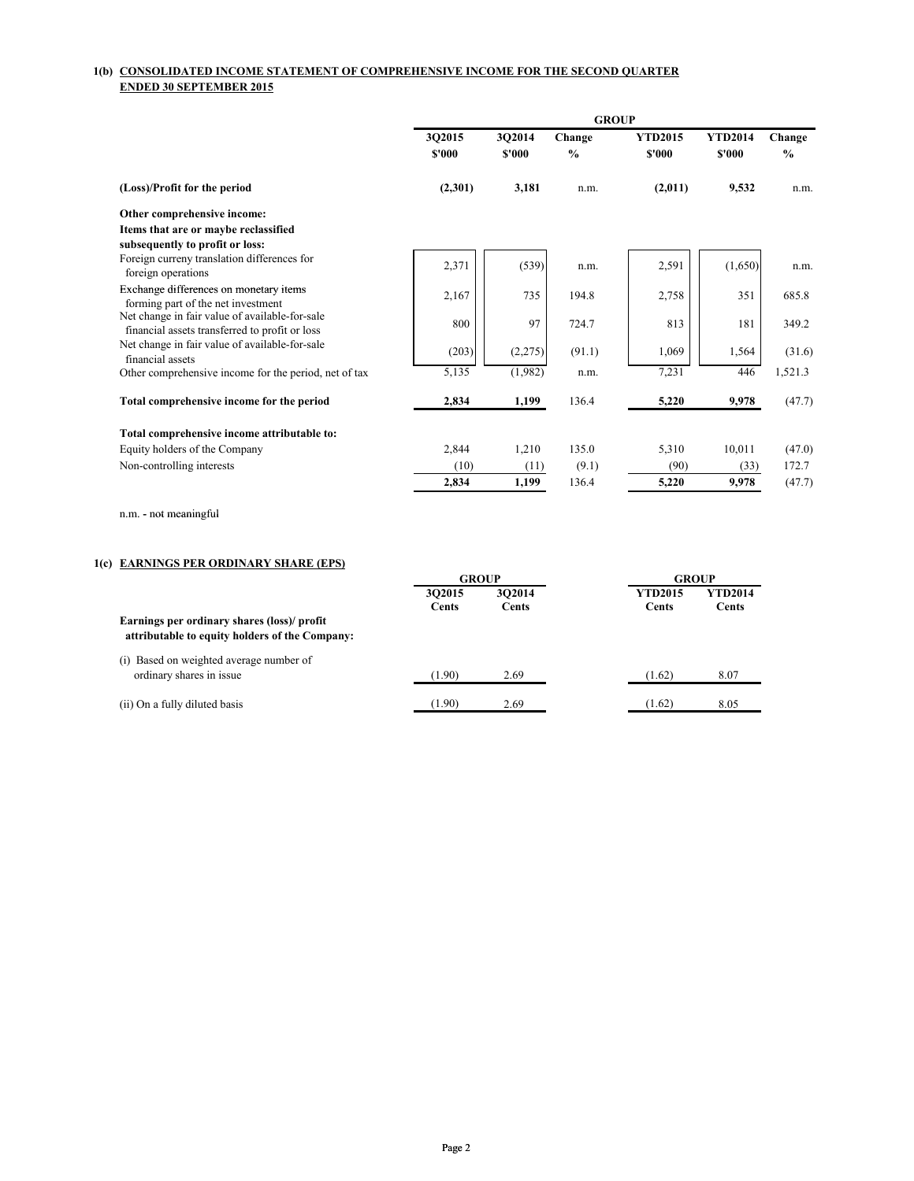## **1(b) CONSOLIDATED INCOME STATEMENT OF COMPREHENSIVE INCOME FOR THE SECOND QUARTER ENDED 30 SEPTEMBER 2015**

|                                                                                                  | <b>GROUP</b>     |                  |                         |                          |                          |                |  |
|--------------------------------------------------------------------------------------------------|------------------|------------------|-------------------------|--------------------------|--------------------------|----------------|--|
|                                                                                                  | 302015<br>\$'000 | 302014<br>\$'000 | Change<br>$\frac{0}{0}$ | <b>YTD2015</b><br>\$'000 | <b>YTD2014</b><br>\$'000 | Change<br>$\%$ |  |
| (Loss)/Profit for the period                                                                     | (2,301)          | 3,181            | n.m.                    | (2,011)                  | 9,532                    | n.m.           |  |
| Other comprehensive income:                                                                      |                  |                  |                         |                          |                          |                |  |
| Items that are or maybe reclassified<br>subsequently to profit or loss:                          |                  |                  |                         |                          |                          |                |  |
| Foreign curreny translation differences for<br>foreign operations                                | 2,371            | (539)            | n.m.                    | 2,591                    | (1,650)                  | n.m.           |  |
| Exchange differences on monetary items<br>forming part of the net investment                     | 2,167            | 735              | 194.8                   | 2,758                    | 351                      | 685.8          |  |
| Net change in fair value of available-for-sale<br>financial assets transferred to profit or loss | 800              | 97               | 724.7                   | 813                      | 181                      | 349.2          |  |
| Net change in fair value of available-for-sale<br>financial assets                               | (203)            | (2,275)          | (91.1)                  | 1,069                    | 1,564                    | (31.6)         |  |
| Other comprehensive income for the period, net of tax                                            | 5,135            | (1,982)          | n.m.                    | 7,231                    | 446                      | 1,521.3        |  |
| Total comprehensive income for the period                                                        | 2,834            | 1,199            | 136.4                   | 5,220                    | 9,978                    | (47.7)         |  |
| Total comprehensive income attributable to:                                                      |                  |                  |                         |                          |                          |                |  |
| Equity holders of the Company                                                                    | 2,844            | 1,210            | 135.0                   | 5,310                    | 10,011                   | (47.0)         |  |
| Non-controlling interests                                                                        | (10)             | (11)             | (9.1)                   | (90)                     | (33)                     | 172.7          |  |
|                                                                                                  | 2,834            | 1,199            | 136.4                   | 5,220                    | 9,978                    | (47.7)         |  |
| n.m. - not meaningful                                                                            |                  |                  |                         |                          |                          |                |  |

## **1(c) EARNINGS PER ORDINARY SHARE (EPS)**

|                                                                                               |              | <b>GROUP</b> |  |                | <b>GROUP</b> |
|-----------------------------------------------------------------------------------------------|--------------|--------------|--|----------------|--------------|
|                                                                                               | 302015       | 302014       |  | <b>YTD2015</b> | YTD2014      |
|                                                                                               | <b>Cents</b> | Cents        |  | Cents          | Cents        |
| Earnings per ordinary shares (loss)/ profit<br>attributable to equity holders of the Company: |              |              |  |                |              |
| (i) Based on weighted average number of                                                       |              |              |  |                |              |
| ordinary shares in issue                                                                      | (1.90)       | 2.69         |  | (1.62)         | 8.07         |
| (ii) On a fully diluted basis                                                                 | (1.90)       | 2.69         |  | (1.62)         | 8.05         |
|                                                                                               |              |              |  |                |              |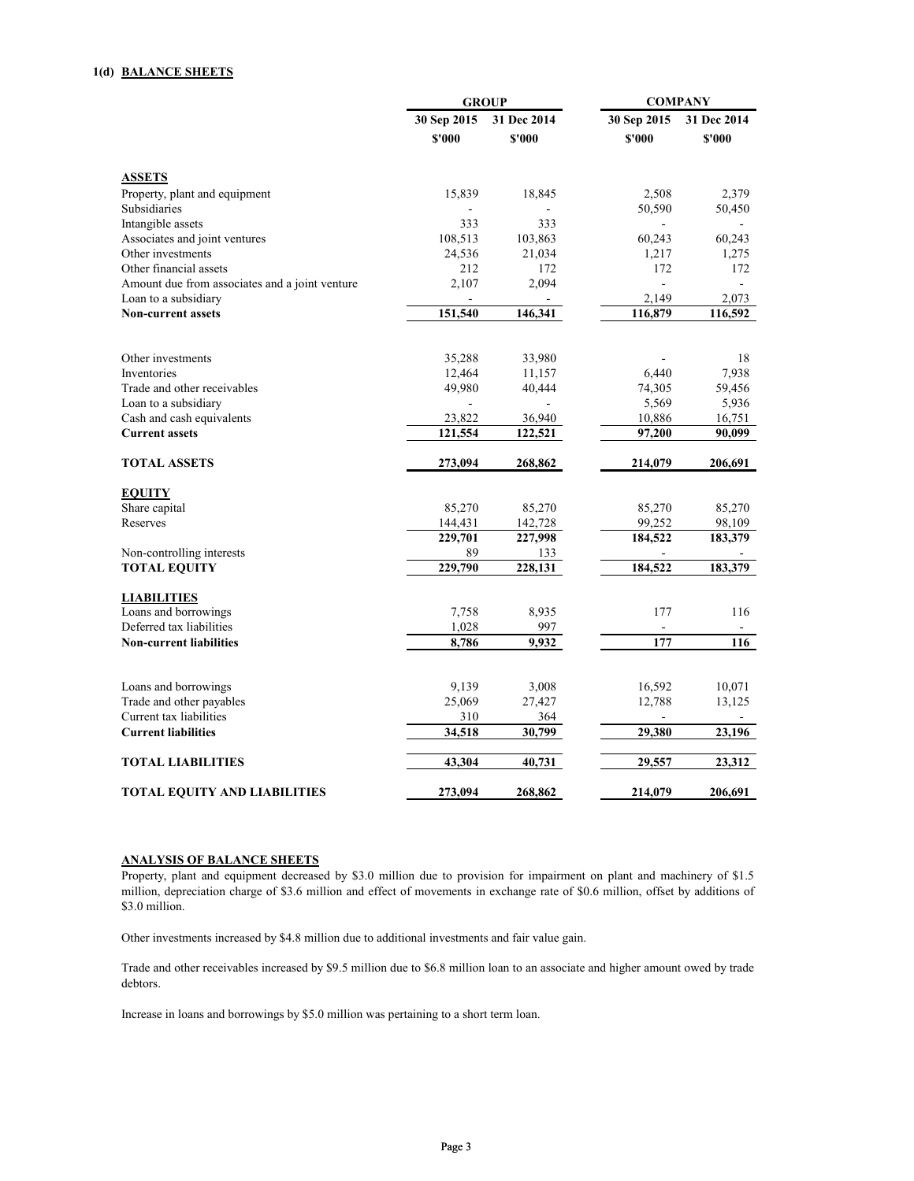## **1(d) BALANCE SHEETS**

|                                                |                | <b>GROUP</b>             | <b>COMPANY</b> |             |  |
|------------------------------------------------|----------------|--------------------------|----------------|-------------|--|
|                                                | 30 Sep 2015    | 31 Dec 2014              | 30 Sep 2015    | 31 Dec 2014 |  |
|                                                | \$'000         | \$'000                   | \$'000         | \$'000      |  |
| <b>ASSETS</b>                                  |                |                          |                |             |  |
| Property, plant and equipment                  | 15,839         | 18,845                   | 2,508          | 2,379       |  |
| Subsidiaries                                   | $\blacksquare$ |                          | 50,590         | 50,450      |  |
| Intangible assets                              | 333            | 333                      |                |             |  |
| Associates and joint ventures                  | 108,513        | 103,863                  | 60,243         | 60,243      |  |
| Other investments                              | 24,536         | 21,034                   | 1,217          | 1,275       |  |
| Other financial assets                         | 212            | 172                      | 172            | 172         |  |
| Amount due from associates and a joint venture | 2,107          | 2,094                    |                |             |  |
| Loan to a subsidiary                           |                |                          | 2,149          | 2,073       |  |
| <b>Non-current assets</b>                      | 151,540        | 146,341                  | 116,879        | 116,592     |  |
| Other investments                              | 35,288         | 33,980                   |                | 18          |  |
| Inventories                                    | 12,464         | 11,157                   | 6,440          | 7,938       |  |
| Trade and other receivables                    | 49,980         | 40,444                   | 74,305         | 59,456      |  |
| Loan to a subsidiary                           | ÷.             | $\overline{\phantom{a}}$ | 5,569          | 5,936       |  |
| Cash and cash equivalents                      | 23,822         | 36,940                   | 10,886         | 16,751      |  |
| <b>Current assets</b>                          | 121,554        | 122,521                  | 97,200         | 90,099      |  |
|                                                |                |                          |                |             |  |
| <b>TOTAL ASSETS</b>                            | 273,094        | 268,862                  | 214,079        | 206,691     |  |
|                                                |                |                          |                |             |  |
| <b>EQUITY</b><br>Share capital                 | 85,270         | 85,270                   | 85,270         | 85,270      |  |
| Reserves                                       | 144,431        | 142,728                  | 99,252         | 98,109      |  |
|                                                | 229,701        | 227,998                  | 184,522        | 183,379     |  |
| Non-controlling interests                      | 89             | 133                      |                |             |  |
| <b>TOTAL EQUITY</b>                            | 229,790        | 228,131                  | 184,522        | 183,379     |  |
| <b>LIABILITIES</b>                             |                |                          |                |             |  |
| Loans and borrowings                           | 7,758          | 8,935                    | 177            | 116         |  |
| Deferred tax liabilities                       | 1,028          | 997                      |                |             |  |
| <b>Non-current liabilities</b>                 | 8,786          | 9,932                    | 177            | 116         |  |
|                                                |                |                          |                |             |  |
| Loans and borrowings                           | 9,139          | 3,008                    | 16,592         | 10,071      |  |
| Trade and other payables                       | 25,069         | 27,427                   | 12,788         | 13,125      |  |
| Current tax liabilities                        | 310            | 364                      |                |             |  |
| <b>Current liabilities</b>                     | 34,518         | 30,799                   | 29,380         | 23,196      |  |
| <b>TOTAL LIABILITIES</b>                       | 43,304         | 40,731                   | 29,557         | 23,312      |  |
| <b>TOTAL EQUITY AND LIABILITIES</b>            | 273,094        | 268,862                  | 214,079        | 206,691     |  |

## **ANALYSIS OF BALANCE SHEETS**

Property, plant and equipment decreased by \$3.0 million due to provision for impairment on plant and machinery of \$1.5 million, depreciation charge of \$3.6 million and effect of movements in exchange rate of \$0.6 million, offset by additions of \$3.0 million.

Other investments increased by \$4.8 million due to additional investments and fair value gain.

Trade and other receivables increased by \$9.5 million due to \$6.8 million loan to an associate and higher amount owed by trade debtors.

Increase in loans and borrowings by \$5.0 million was pertaining to a short term loan.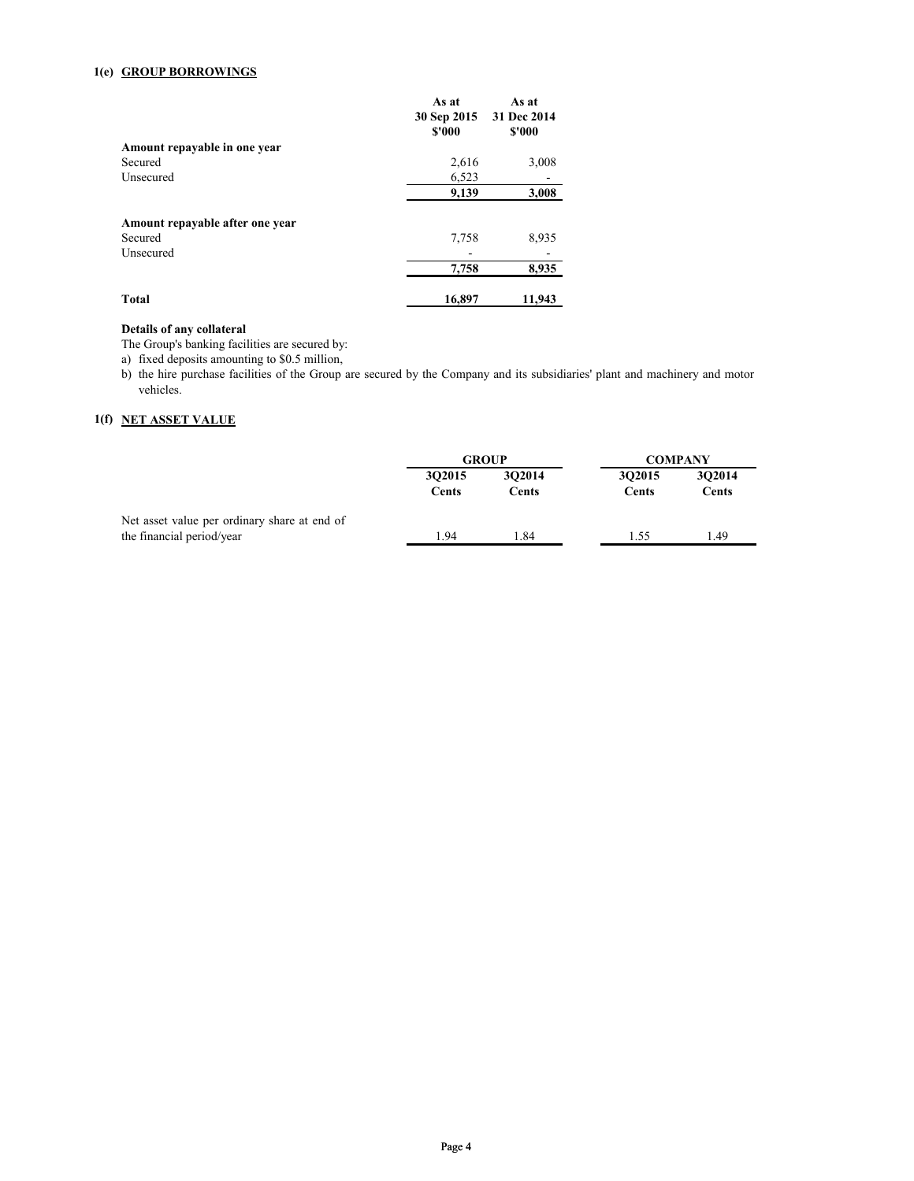## **1(e) GROUP BORROWINGS**

|                                 | As at<br>30 Sep 2015<br>\$'000 | As at<br>31 Dec 2014<br>\$'000 |
|---------------------------------|--------------------------------|--------------------------------|
| Amount repayable in one year    |                                |                                |
| Secured                         | 2,616                          | 3,008                          |
| Unsecured                       | 6,523                          |                                |
|                                 | 9,139                          | 3,008                          |
| Amount repayable after one year |                                |                                |
| Secured                         | 7,758                          | 8,935                          |
| Unsecured                       |                                |                                |
|                                 | 7,758                          | 8,935                          |
| Total                           | 16,897                         | 11,943                         |

## **Details of any collateral**

The Group's banking facilities are secured by:

a) fixed deposits amounting to \$0.5 million,

b) the hire purchase facilities of the Group are secured by the Company and its subsidiaries' plant and machinery and motor vehicles.

### **1(f) NET ASSET VALUE**

|                                              | <b>GROUP</b>    |                        | <b>COMPANY</b>  |                        |
|----------------------------------------------|-----------------|------------------------|-----------------|------------------------|
|                                              | 302015<br>Cents | 302014<br><b>Cents</b> | 302015<br>Cents | 302014<br><b>Cents</b> |
| Net asset value per ordinary share at end of |                 |                        |                 |                        |
| the financial period/year                    | 1.94            | .84                    | 1.55            | 1.49                   |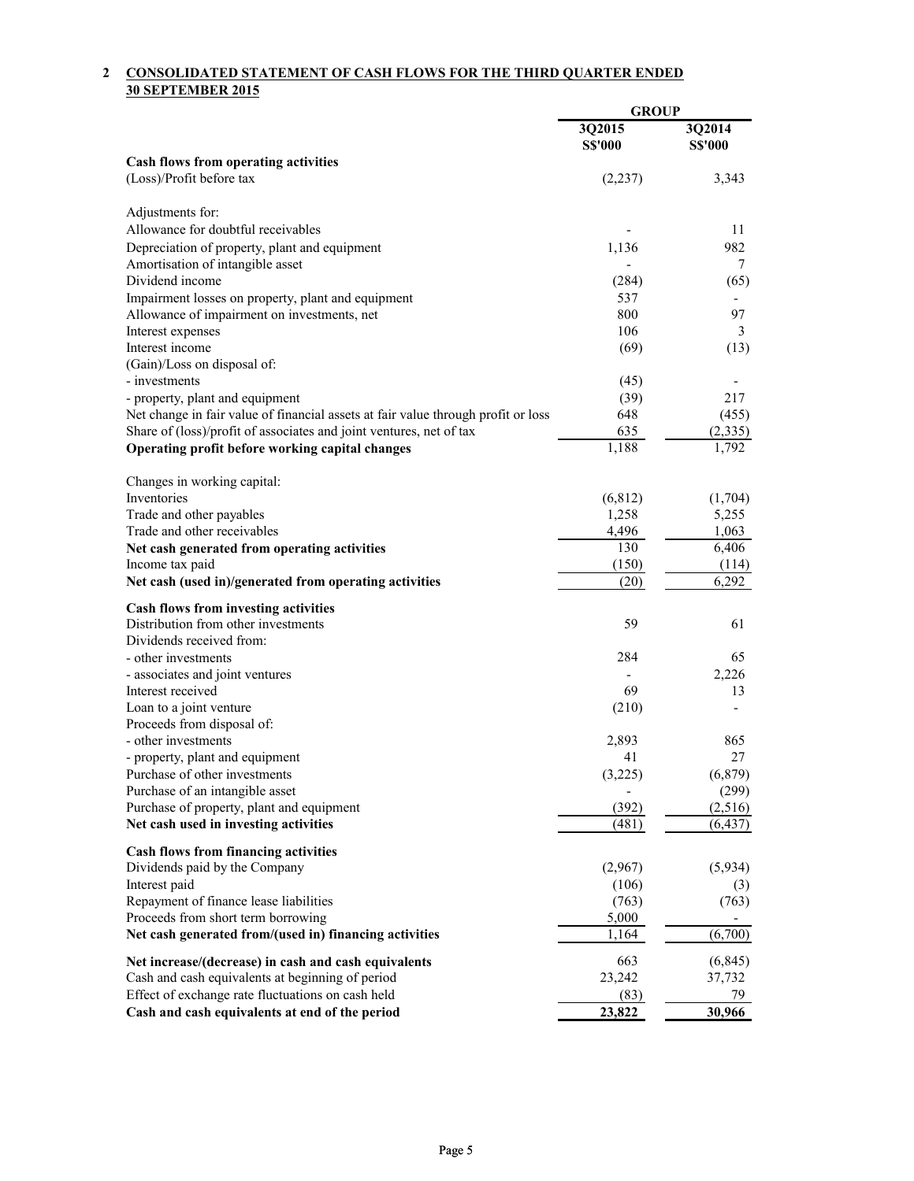## **2 CONSOLIDATED STATEMENT OF CASH FLOWS FOR THE THIRD QUARTER ENDED 30 SEPTEMBER 2015**

|                                                                                   | <b>GROUP</b>   |                              |
|-----------------------------------------------------------------------------------|----------------|------------------------------|
|                                                                                   | 3Q2015         | 3Q2014                       |
|                                                                                   | <b>S\$'000</b> | <b>S\$'000</b>               |
| Cash flows from operating activities                                              |                |                              |
| (Loss)/Profit before tax                                                          | (2,237)        | 3,343                        |
| Adjustments for:                                                                  |                |                              |
| Allowance for doubtful receivables                                                |                | 11                           |
| Depreciation of property, plant and equipment                                     | 1,136          | 982                          |
| Amortisation of intangible asset                                                  |                | 7                            |
| Dividend income                                                                   | (284)          | (65)                         |
| Impairment losses on property, plant and equipment                                | 537            |                              |
| Allowance of impairment on investments, net                                       | 800            | 97                           |
| Interest expenses                                                                 | 106            | 3                            |
| Interest income                                                                   | (69)           | (13)                         |
| (Gain)/Loss on disposal of:                                                       |                |                              |
| - investments                                                                     | (45)           |                              |
| - property, plant and equipment                                                   | (39)           | 217                          |
| Net change in fair value of financial assets at fair value through profit or loss | 648            | (455)                        |
| Share of (loss)/profit of associates and joint ventures, net of tax               | 635            | (2, 335)                     |
| Operating profit before working capital changes                                   | 1,188          | 1,792                        |
|                                                                                   |                |                              |
| Changes in working capital:                                                       |                |                              |
| Inventories                                                                       | (6, 812)       | (1,704)                      |
| Trade and other payables                                                          | 1,258          | 5,255                        |
| Trade and other receivables                                                       | 4,496          | 1,063                        |
| Net cash generated from operating activities                                      | 130            | 6,406                        |
| Income tax paid<br>Net cash (used in)/generated from operating activities         | (150)<br>(20)  | (114)<br>6,292               |
|                                                                                   |                |                              |
| <b>Cash flows from investing activities</b>                                       |                |                              |
| Distribution from other investments                                               | 59             | 61                           |
| Dividends received from:                                                          |                |                              |
| - other investments                                                               | 284            | 65                           |
| - associates and joint ventures                                                   |                | 2,226                        |
| Interest received                                                                 | 69             | 13                           |
| Loan to a joint venture<br>Proceeds from disposal of:                             | (210)          | $\qquad \qquad \blacksquare$ |
| - other investments                                                               | 2,893          | 865                          |
| - property, plant and equipment                                                   | 41             | 27                           |
| Purchase of other investments                                                     | (3,225)        | (6, 879)                     |
| Purchase of an intangible asset                                                   |                | (299)                        |
| Purchase of property, plant and equipment                                         | (392)          | (2,516)                      |
| Net cash used in investing activities                                             | (481)          | (6, 437)                     |
|                                                                                   |                |                              |
| <b>Cash flows from financing activities</b>                                       |                |                              |
| Dividends paid by the Company                                                     | (2,967)        | (5,934)                      |
| Interest paid                                                                     | (106)          | (3)                          |
| Repayment of finance lease liabilities                                            | (763)          | (763)                        |
| Proceeds from short term borrowing                                                | 5,000<br>1,164 | (6,700)                      |
| Net cash generated from/(used in) financing activities                            |                |                              |
| Net increase/(decrease) in cash and cash equivalents                              | 663            | (6, 845)                     |
| Cash and cash equivalents at beginning of period                                  | 23,242         | 37,732                       |
| Effect of exchange rate fluctuations on cash held                                 | (83)           | 79                           |
| Cash and cash equivalents at end of the period                                    | 23,822         | 30,966                       |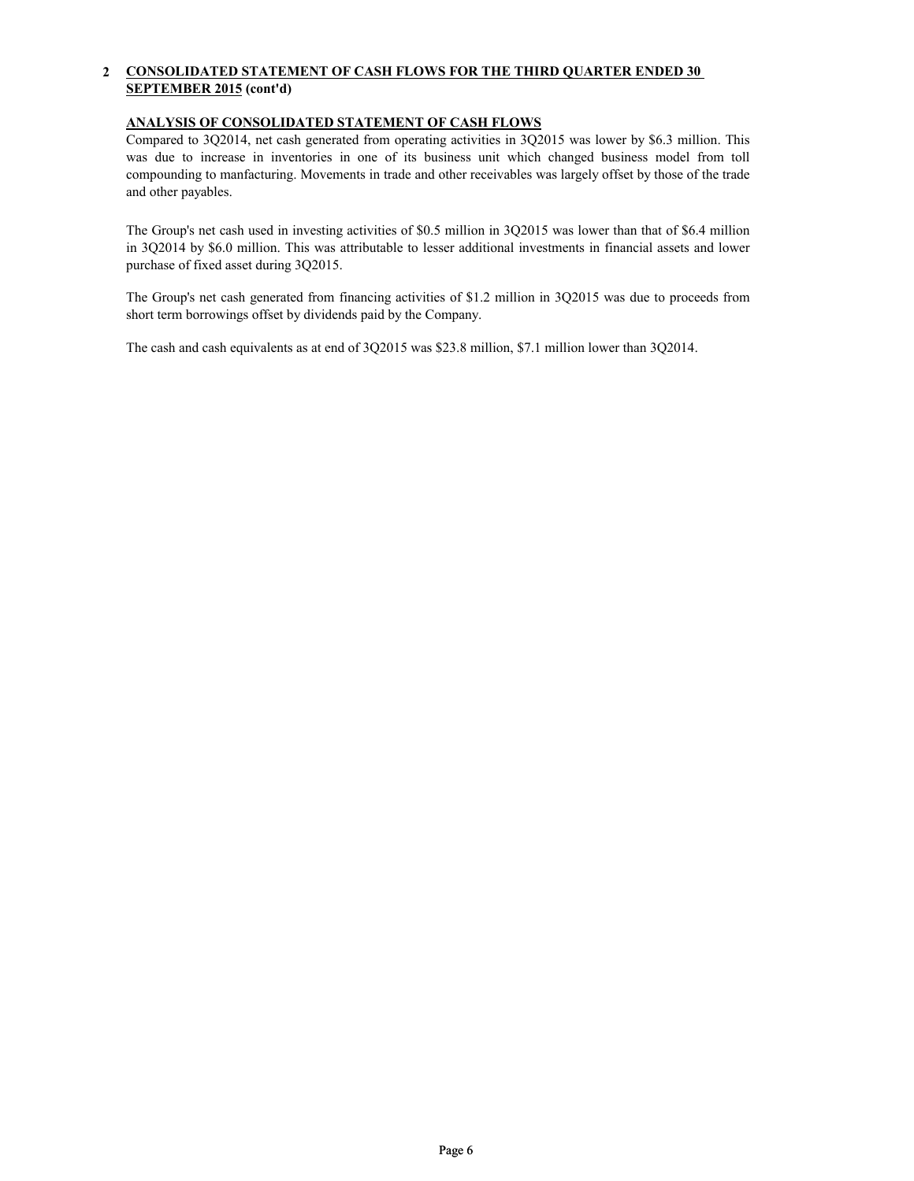#### **2 CONSOLIDATED STATEMENT OF CASH FLOWS FOR THE THIRD QUARTER ENDED 30 SEPTEMBER 2015 (cont'd)**

# **ANALYSIS OF CONSOLIDATED STATEMENT OF CASH FLOWS**

Compared to 3Q2014, net cash generated from operating activities in 3Q2015 was lower by \$6.3 million. This was due to increase in inventories in one of its business unit which changed business model from toll compounding to manfacturing. Movements in trade and other receivables was largely offset by those of the trade and other payables.

The Group's net cash used in investing activities of \$0.5 million in 3Q2015 was lower than that of \$6.4 million in 3Q2014 by \$6.0 million. This was attributable to lesser additional investments in financial assets and lower purchase of fixed asset during 3Q2015.

The Group's net cash generated from financing activities of \$1.2 million in 3Q2015 was due to proceeds from short term borrowings offset by dividends paid by the Company.

The cash and cash equivalents as at end of 3Q2015 was \$23.8 million, \$7.1 million lower than 3Q2014.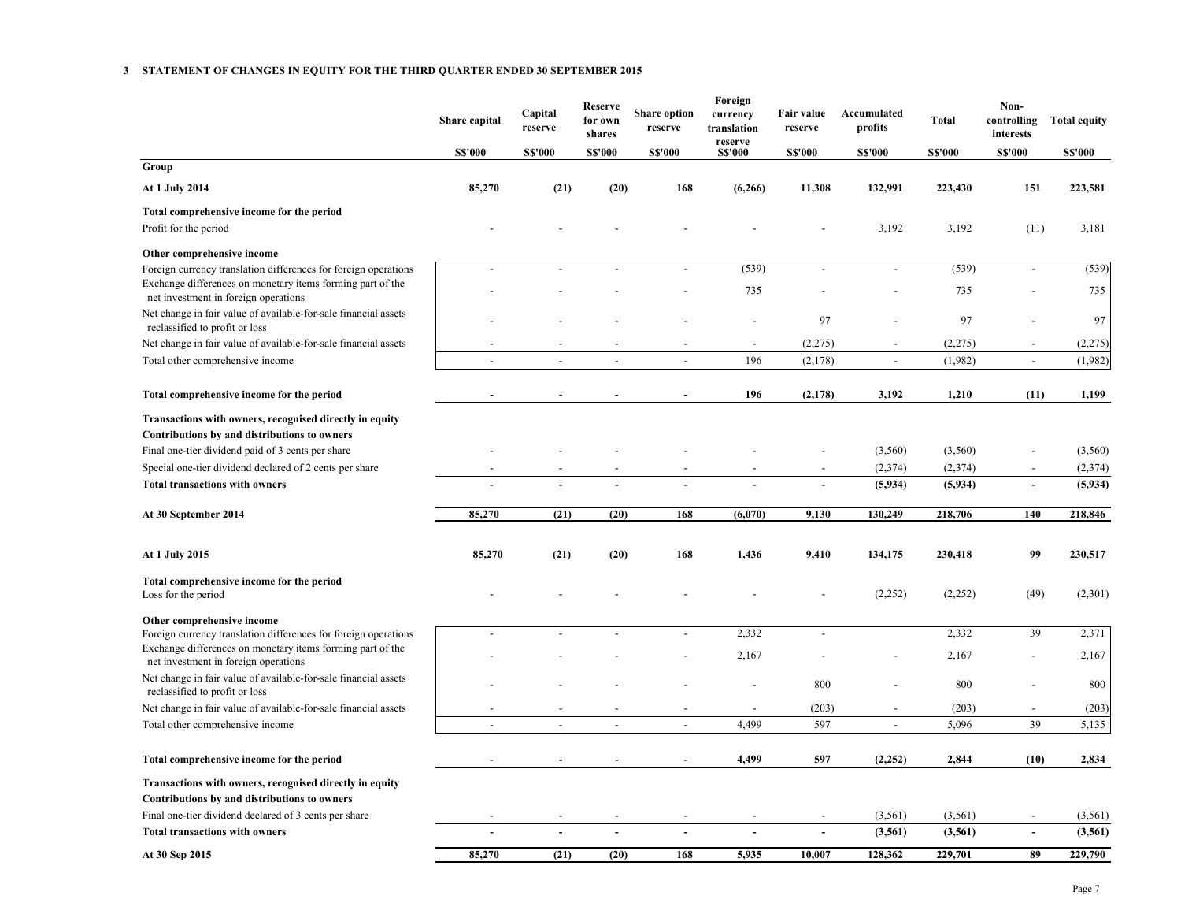#### **3 STATEMENT OF CHANGES IN EQUITY FOR THE THIRD QUARTER ENDED 30 SEPTEMBER 2015**

|                                                                                                                                                              | Share capital  | Capital<br>reserve | Reserve<br>for own<br>shares | <b>Share option</b><br>reserve | Foreign<br>currency<br>translation<br>reserve | Fair value<br>reserve | Accumulated<br>profits   | Total         | Non-<br>controlling<br>interests | <b>Total equity</b> |
|--------------------------------------------------------------------------------------------------------------------------------------------------------------|----------------|--------------------|------------------------------|--------------------------------|-----------------------------------------------|-----------------------|--------------------------|---------------|----------------------------------|---------------------|
|                                                                                                                                                              | <b>S\$'000</b> | <b>S\$'000</b>     | <b>S\$'000</b>               | <b>S\$'000</b>                 | <b>S\$'000</b>                                | <b>S\$'000</b>        | <b>S\$'000</b>           | <b>SS'000</b> | <b>S\$'000</b>                   | <b>S\$'000</b>      |
| Group                                                                                                                                                        |                |                    |                              |                                |                                               |                       |                          |               |                                  |                     |
| At 1 July 2014                                                                                                                                               | 85,270         | (21)               | (20)                         | 168                            | (6,266)                                       | 11,308                | 132,991                  | 223,430       | 151                              | 223,581             |
| Total comprehensive income for the period                                                                                                                    |                |                    |                              |                                |                                               |                       |                          |               |                                  |                     |
| Profit for the period                                                                                                                                        |                |                    |                              |                                |                                               |                       | 3,192                    | 3,192         | (11)                             | 3,181               |
| Other comprehensive income                                                                                                                                   |                |                    |                              |                                |                                               |                       |                          |               |                                  |                     |
| Foreign currency translation differences for foreign operations                                                                                              |                |                    |                              | $\overline{a}$                 | (539)                                         |                       | $\overline{\phantom{a}}$ | (539)         | $\overline{a}$                   | (539)               |
| Exchange differences on monetary items forming part of the<br>net investment in foreign operations                                                           |                |                    |                              |                                | 735                                           |                       |                          | 735           |                                  | 735                 |
| Net change in fair value of available-for-sale financial assets                                                                                              |                |                    |                              |                                |                                               |                       |                          |               |                                  |                     |
| reclassified to profit or loss                                                                                                                               |                |                    |                              |                                |                                               | 97                    |                          | 97            |                                  | 97                  |
| Net change in fair value of available-for-sale financial assets                                                                                              |                |                    |                              |                                |                                               | (2,275)               |                          | (2,275)       |                                  | (2,275)             |
| Total other comprehensive income                                                                                                                             |                | $\overline{a}$     | $\overline{a}$               | $\overline{\phantom{a}}$       | 196                                           | (2,178)               | $\overline{\phantom{a}}$ | (1,982)       | $\overline{\phantom{a}}$         | (1,982)             |
| Total comprehensive income for the period                                                                                                                    |                |                    |                              |                                | 196                                           | (2,178)               | 3,192                    | 1,210         | (11)                             | 1,199               |
| Transactions with owners, recognised directly in equity<br>Contributions by and distributions to owners<br>Final one-tier dividend paid of 3 cents per share |                |                    |                              |                                |                                               |                       | (3,560)                  | (3,560)       |                                  | (3,560)             |
| Special one-tier dividend declared of 2 cents per share                                                                                                      |                |                    |                              |                                |                                               |                       | (2,374)                  | (2,374)       | $\overline{a}$                   | (2, 374)            |
| <b>Total transactions with owners</b>                                                                                                                        |                |                    |                              |                                |                                               |                       | (5,934)                  | (5,934)       |                                  | (5,934)             |
| At 30 September 2014                                                                                                                                         | 85,270         | (21)               | (20)                         | 168                            | (6,070)                                       | 9,130                 | 130,249                  | 218,706       | 140                              | 218,846             |
|                                                                                                                                                              |                |                    |                              |                                |                                               |                       |                          |               |                                  |                     |
| At 1 July 2015                                                                                                                                               | 85,270         | (21)               | (20)                         | 168                            | 1,436                                         | 9,410                 | 134,175                  | 230,418       | 99                               | 230,517             |
| Total comprehensive income for the period<br>Loss for the period                                                                                             |                |                    |                              |                                |                                               |                       | (2,252)                  | (2,252)       | (49)                             | (2,301)             |
| Other comprehensive income                                                                                                                                   |                |                    |                              |                                |                                               |                       |                          |               |                                  |                     |
| Foreign currency translation differences for foreign operations<br>Exchange differences on monetary items forming part of the                                |                |                    |                              | $\overline{a}$                 | 2,332                                         | $\overline{a}$        |                          | 2,332         | 39                               | 2,371               |
| net investment in foreign operations                                                                                                                         |                |                    |                              |                                | 2,167                                         |                       |                          | 2,167         |                                  | 2,167               |
| Net change in fair value of available-for-sale financial assets<br>reclassified to profit or loss                                                            |                |                    |                              |                                |                                               | 800                   |                          | 800           |                                  | 800                 |
| Net change in fair value of available-for-sale financial assets                                                                                              |                |                    |                              |                                |                                               | (203)                 | $\blacksquare$           | (203)         | $\overline{a}$                   | (203)               |
| Total other comprehensive income                                                                                                                             |                | $\sim$             | $\overline{a}$               | $\blacksquare$                 | 4,499                                         | 597                   | $\overline{\phantom{a}}$ | 5,096         | 39                               | 5,135               |
| Total comprehensive income for the period                                                                                                                    |                |                    |                              |                                | 4,499                                         | 597                   | (2, 252)                 | 2,844         | (10)                             | 2,834               |
| Transactions with owners, recognised directly in equity                                                                                                      |                |                    |                              |                                |                                               |                       |                          |               |                                  |                     |
| Contributions by and distributions to owners                                                                                                                 |                |                    |                              |                                |                                               |                       |                          |               |                                  |                     |
| Final one-tier dividend declared of 3 cents per share                                                                                                        |                |                    |                              |                                |                                               |                       | (3,561)                  | (3,561)       |                                  | (3, 561)            |
| <b>Total transactions with owners</b>                                                                                                                        |                |                    |                              |                                |                                               |                       | (3, 561)                 | (3, 561)      |                                  | (3, 561)            |
| At 30 Sep 2015                                                                                                                                               | 85,270         | (21)               | (20)                         | 168                            | 5,935                                         | 10,007                | 128,362                  | 229,701       | 89                               | 229,790             |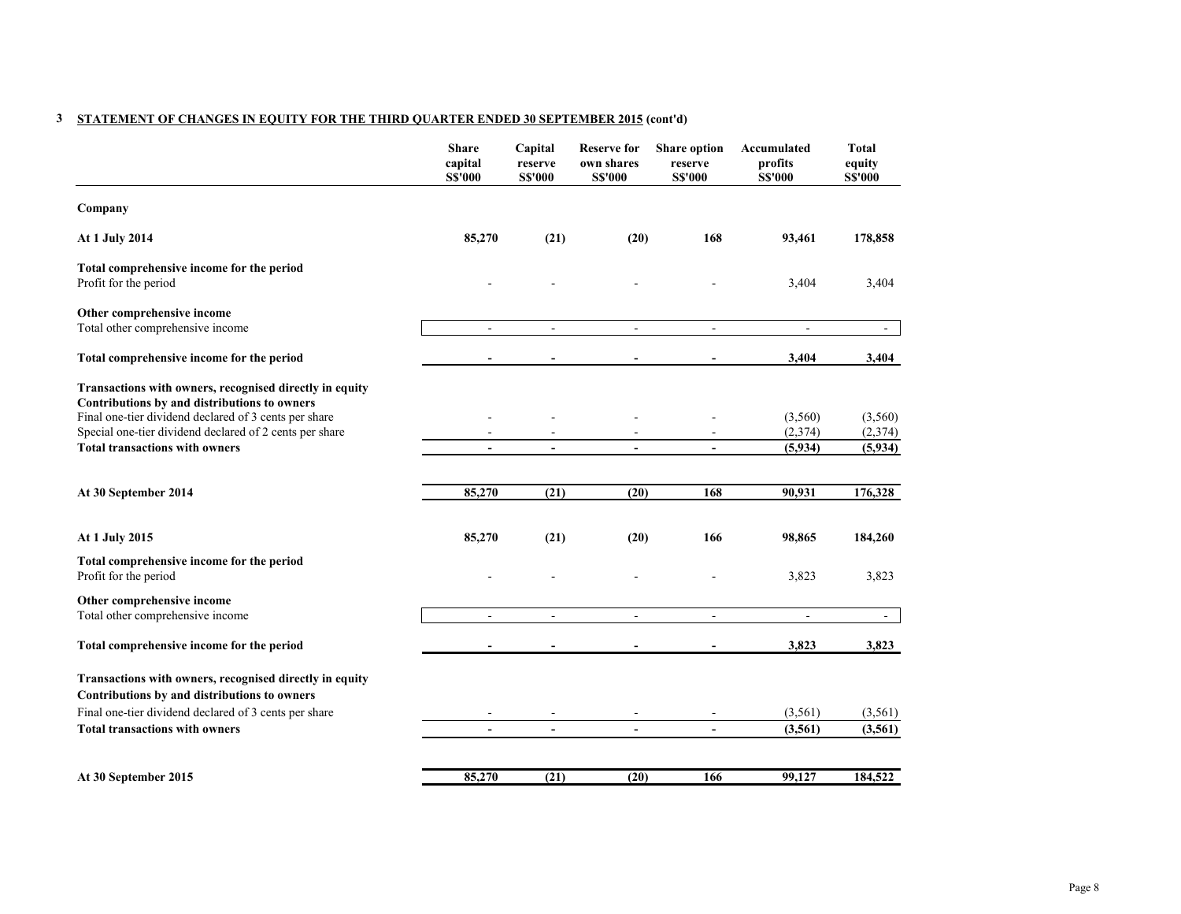# **3 STATEMENT OF CHANGES IN EQUITY FOR THE THIRD QUARTER ENDED 30 SEPTEMBER 2015 (cont'd)**

|                                                                                                                                                                                                                                                                      | <b>Share</b><br>capital<br><b>S\$'000</b> | Capital<br>reserve<br><b>S\$'000</b> | <b>Reserve for</b><br>own shares<br><b>S\$'000</b> | <b>Share option</b><br>reserve<br><b>S\$'000</b> | Accumulated<br>profits<br><b>S\$'000</b> | <b>Total</b><br>equity<br><b>S\$'000</b> |
|----------------------------------------------------------------------------------------------------------------------------------------------------------------------------------------------------------------------------------------------------------------------|-------------------------------------------|--------------------------------------|----------------------------------------------------|--------------------------------------------------|------------------------------------------|------------------------------------------|
| Company                                                                                                                                                                                                                                                              |                                           |                                      |                                                    |                                                  |                                          |                                          |
| At 1 July 2014                                                                                                                                                                                                                                                       | 85,270                                    | (21)                                 | (20)                                               | 168                                              | 93,461                                   | 178,858                                  |
| Total comprehensive income for the period<br>Profit for the period                                                                                                                                                                                                   |                                           |                                      |                                                    |                                                  | 3,404                                    | 3,404                                    |
| Other comprehensive income<br>Total other comprehensive income                                                                                                                                                                                                       | $\overline{\phantom{a}}$                  | $\sim$                               | $\sim$                                             | $\sim$                                           | $\sim$                                   |                                          |
| Total comprehensive income for the period                                                                                                                                                                                                                            |                                           |                                      |                                                    |                                                  | 3,404                                    | 3,404                                    |
| Transactions with owners, recognised directly in equity<br>Contributions by and distributions to owners<br>Final one-tier dividend declared of 3 cents per share<br>Special one-tier dividend declared of 2 cents per share<br><b>Total transactions with owners</b> | $\overline{a}$<br>$\blacksquare$          | $\blacksquare$                       | $\sim$                                             | $\sim$                                           | (3,560)<br>(2,374)<br>(5,934)            | (3,560)<br>(2,374)<br>(5,934)            |
| At 30 September 2014                                                                                                                                                                                                                                                 | 85,270                                    | (21)                                 | (20)                                               | 168                                              | 90,931                                   | 176,328                                  |
| At 1 July 2015                                                                                                                                                                                                                                                       | 85,270                                    | (21)                                 | (20)                                               | 166                                              | 98,865                                   | 184,260                                  |
| Total comprehensive income for the period<br>Profit for the period                                                                                                                                                                                                   |                                           |                                      |                                                    |                                                  | 3,823                                    | 3,823                                    |
| Other comprehensive income<br>Total other comprehensive income                                                                                                                                                                                                       | ÷.                                        | ÷.                                   | $\sim$                                             | $\sim$                                           | $\sim$                                   | $\blacksquare$                           |
| Total comprehensive income for the period                                                                                                                                                                                                                            |                                           |                                      |                                                    | $\blacksquare$                                   | 3,823                                    | 3,823                                    |
| Transactions with owners, recognised directly in equity<br>Contributions by and distributions to owners                                                                                                                                                              |                                           |                                      |                                                    |                                                  |                                          |                                          |
| Final one-tier dividend declared of 3 cents per share                                                                                                                                                                                                                |                                           |                                      |                                                    |                                                  | (3, 561)                                 | (3, 561)                                 |
| <b>Total transactions with owners</b>                                                                                                                                                                                                                                | $\overline{a}$                            | $\blacksquare$                       | $\blacksquare$                                     | $\blacksquare$                                   | (3,561)                                  | (3,561)                                  |
| At 30 September 2015                                                                                                                                                                                                                                                 | 85,270                                    | (21)                                 | (20)                                               | 166                                              | 99,127                                   | 184,522                                  |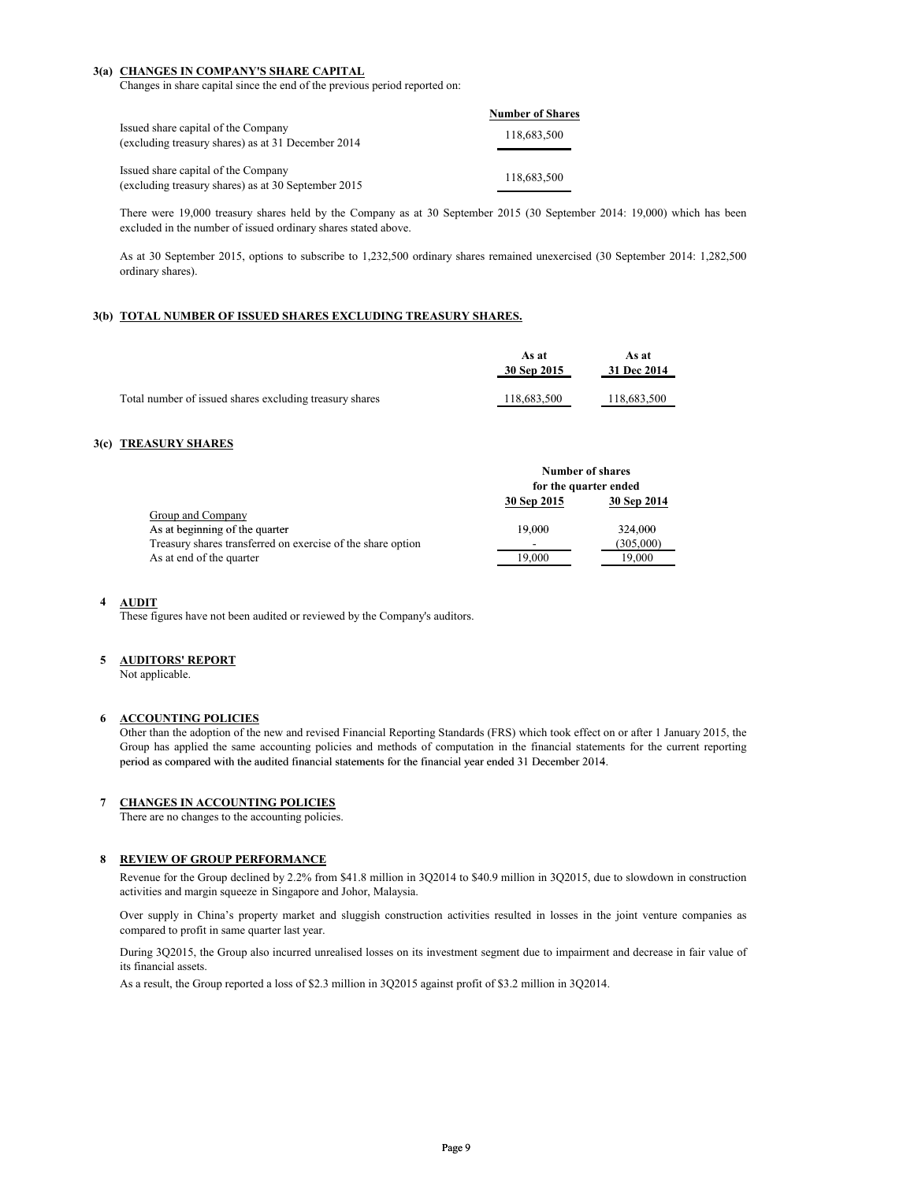#### **3(a) CHANGES IN COMPANY'S SHARE CAPITAL**

Changes in share capital since the end of the previous period reported on:

|                                                                                            | <b>Number of Shares</b> |
|--------------------------------------------------------------------------------------------|-------------------------|
| Issued share capital of the Company<br>(excluding treasury shares) as at 31 December 2014  | 118,683,500             |
| Issued share capital of the Company<br>(excluding treasury shares) as at 30 September 2015 | 118,683,500             |

There were 19,000 treasury shares held by the Company as at 30 September 2015 (30 September 2014: 19,000) which has been excluded in the number of issued ordinary shares stated above.

As at 30 September 2015, options to subscribe to 1,232,500 ordinary shares remained unexercised (30 September 2014: 1,282,500 ordinary shares).

#### **3(b) TOTAL NUMBER OF ISSUED SHARES EXCLUDING TREASURY SHARES.**

|                                                         | As at<br>30 Sep 2015 | As at<br>31 Dec 2014 |
|---------------------------------------------------------|----------------------|----------------------|
| Total number of issued shares excluding treasury shares | 118.683.500          | 118.683.500          |

## **3(c) TREASURY SHARES**

|                                                             | <b>Number of shares</b><br>for the quarter ended |             |  |
|-------------------------------------------------------------|--------------------------------------------------|-------------|--|
|                                                             |                                                  |             |  |
|                                                             | 30 Sep 2015                                      | 30 Sep 2014 |  |
| Group and Company                                           |                                                  |             |  |
| As at beginning of the quarter                              | 19.000                                           | 324,000     |  |
| Treasury shares transferred on exercise of the share option | ۰                                                | (305,000)   |  |
| As at end of the quarter                                    | 19.000                                           | 19.000      |  |

#### **4 AUDIT**

These figures have not been audited or reviewed by the Company's auditors.

#### **5 AUDITORS' REPORT**

Not applicable.

### **6 ACCOUNTING POLICIES**

Other than the adoption of the new and revised Financial Reporting Standards (FRS) which took effect on or after 1 January 2015, the Group has applied the same accounting policies and methods of computation in the financial statements for the current reporting period as compared with the audited financial statements for the financial year ended 31 December 2014.

#### **7 CHANGES IN ACCOUNTING POLICIES**

There are no changes to the accounting policies.

## **8 REVIEW OF GROUP PERFORMANCE**

Revenue for the Group declined by 2.2% from \$41.8 million in 3Q2014 to \$40.9 million in 3Q2015, due to slowdown in construction activities and margin squeeze in Singapore and Johor, Malaysia.

Over supply in China's property market and sluggish construction activities resulted in losses in the joint venture companies as compared to profit in same quarter last year.

During 3Q2015, the Group also incurred unrealised losses on its investment segment due to impairment and decrease in fair value of its financial assets.

As a result, the Group reported a loss of \$2.3 million in 3Q2015 against profit of \$3.2 million in 3Q2014.